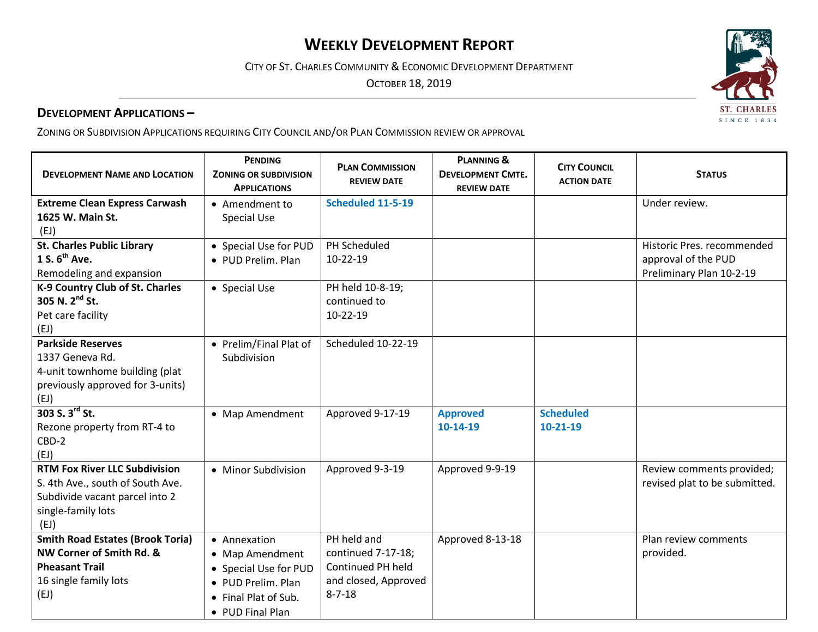# **WEEKLY DEVELOPMENT REPORT**

CITY OF ST. CHARLES COMMUNITY & ECONOMIC DEVELOPMENT DEPARTMENT

OCTOBER 18, 2019

#### **DEVELOPMENT APPLICATIONS –**

ZONING OR SUBDIVISION APPLICATIONS REQUIRING CITY COUNCIL AND/OR PLAN COMMISSION REVIEW OR APPROVAL

| <b>DEVELOPMENT NAME AND LOCATION</b>    | <b>PENDING</b><br><b>ZONING OR SUBDIVISION</b><br><b>APPLICATIONS</b> | <b>PLAN COMMISSION</b><br><b>REVIEW DATE</b> | <b>PLANNING &amp;</b><br><b>DEVELOPMENT CMTE.</b><br><b>REVIEW DATE</b> | <b>CITY COUNCIL</b><br><b>ACTION DATE</b> | <b>STATUS</b>                 |
|-----------------------------------------|-----------------------------------------------------------------------|----------------------------------------------|-------------------------------------------------------------------------|-------------------------------------------|-------------------------------|
| <b>Extreme Clean Express Carwash</b>    | • Amendment to                                                        | <b>Scheduled 11-5-19</b>                     |                                                                         |                                           | Under review.                 |
| 1625 W. Main St.                        | <b>Special Use</b>                                                    |                                              |                                                                         |                                           |                               |
| (EJ)                                    |                                                                       |                                              |                                                                         |                                           |                               |
| <b>St. Charles Public Library</b>       | • Special Use for PUD                                                 | PH Scheduled                                 |                                                                         |                                           | Historic Pres. recommended    |
| 1 S. $6^{th}$ Ave.                      | • PUD Prelim. Plan                                                    | $10-22-19$                                   |                                                                         |                                           | approval of the PUD           |
| Remodeling and expansion                |                                                                       |                                              |                                                                         |                                           | Preliminary Plan 10-2-19      |
| K-9 Country Club of St. Charles         | • Special Use                                                         | PH held 10-8-19;                             |                                                                         |                                           |                               |
| 305 N. 2 <sup>nd</sup> St.              |                                                                       | continued to                                 |                                                                         |                                           |                               |
| Pet care facility                       |                                                                       | 10-22-19                                     |                                                                         |                                           |                               |
| (EJ)                                    |                                                                       |                                              |                                                                         |                                           |                               |
| <b>Parkside Reserves</b>                | • Prelim/Final Plat of                                                | Scheduled 10-22-19                           |                                                                         |                                           |                               |
| 1337 Geneva Rd.                         | Subdivision                                                           |                                              |                                                                         |                                           |                               |
| 4-unit townhome building (plat          |                                                                       |                                              |                                                                         |                                           |                               |
| previously approved for 3-units)        |                                                                       |                                              |                                                                         |                                           |                               |
| (EJ)                                    |                                                                       |                                              |                                                                         |                                           |                               |
| 303 S. 3rd St.                          | • Map Amendment                                                       | Approved 9-17-19                             | <b>Approved</b>                                                         | <b>Scheduled</b>                          |                               |
| Rezone property from RT-4 to            |                                                                       |                                              | 10-14-19                                                                | 10-21-19                                  |                               |
| CBD-2                                   |                                                                       |                                              |                                                                         |                                           |                               |
| (EJ)                                    |                                                                       |                                              |                                                                         |                                           |                               |
| <b>RTM Fox River LLC Subdivision</b>    | • Minor Subdivision                                                   | Approved 9-3-19                              | Approved 9-9-19                                                         |                                           | Review comments provided;     |
| S. 4th Ave., south of South Ave.        |                                                                       |                                              |                                                                         |                                           | revised plat to be submitted. |
| Subdivide vacant parcel into 2          |                                                                       |                                              |                                                                         |                                           |                               |
| single-family lots                      |                                                                       |                                              |                                                                         |                                           |                               |
| (EJ)                                    |                                                                       |                                              |                                                                         |                                           |                               |
| <b>Smith Road Estates (Brook Toria)</b> | • Annexation                                                          | PH held and                                  | Approved 8-13-18                                                        |                                           | Plan review comments          |
| NW Corner of Smith Rd. &                | • Map Amendment                                                       | continued 7-17-18;                           |                                                                         |                                           | provided.                     |
| <b>Pheasant Trail</b>                   | • Special Use for PUD                                                 | Continued PH held                            |                                                                         |                                           |                               |
| 16 single family lots                   | • PUD Prelim. Plan                                                    | and closed, Approved                         |                                                                         |                                           |                               |
| (EJ)                                    | • Final Plat of Sub.                                                  | $8 - 7 - 18$                                 |                                                                         |                                           |                               |
|                                         | • PUD Final Plan                                                      |                                              |                                                                         |                                           |                               |

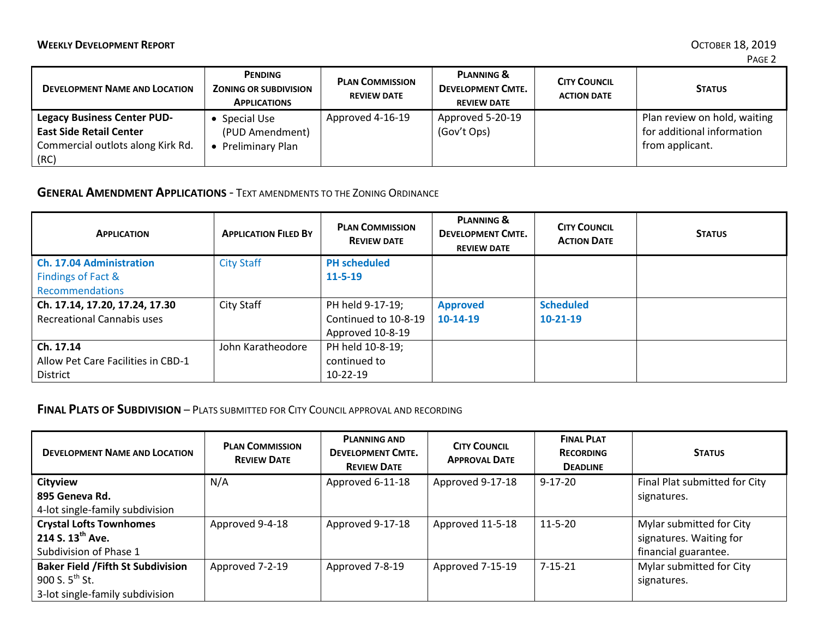| <b>DEVELOPMENT NAME AND LOCATION</b>                                                                              | PENDING<br><b>ZONING OR SUBDIVISION</b><br><b>APPLICATIONS</b> | <b>PLAN COMMISSION</b><br><b>REVIEW DATE</b> | <b>PLANNING &amp;</b><br><b>DEVELOPMENT CMTE.</b><br><b>REVIEW DATE</b> | <b>CITY COUNCIL</b><br><b>ACTION DATE</b> | <b>STATUS</b>                                                                 |
|-------------------------------------------------------------------------------------------------------------------|----------------------------------------------------------------|----------------------------------------------|-------------------------------------------------------------------------|-------------------------------------------|-------------------------------------------------------------------------------|
| <b>Legacy Business Center PUD-</b><br><b>East Side Retail Center</b><br>Commercial outlots along Kirk Rd.<br>(RC) | Special Use<br>(PUD Amendment)<br>Preliminary Plan             | Approved 4-16-19                             | Approved 5-20-19<br>(Gov't Ops)                                         |                                           | Plan review on hold, waiting<br>for additional information<br>from applicant. |

### **GENERAL AMENDMENT APPLICATIONS** - TEXT AMENDMENTS TO THE ZONING ORDINANCE

| <b>APPLICATION</b>                 | <b>APPLICATION FILED BY</b> | <b>PLAN COMMISSION</b><br><b>REVIEW DATE</b> | <b>PLANNING &amp;</b><br><b>DEVELOPMENT CMTE.</b><br><b>REVIEW DATE</b> | <b>CITY COUNCIL</b><br><b>ACTION DATE</b> | <b>STATUS</b> |
|------------------------------------|-----------------------------|----------------------------------------------|-------------------------------------------------------------------------|-------------------------------------------|---------------|
| <b>Ch. 17.04 Administration</b>    | <b>City Staff</b>           | <b>PH</b> scheduled                          |                                                                         |                                           |               |
| Findings of Fact &                 |                             | $11 - 5 - 19$                                |                                                                         |                                           |               |
| Recommendations                    |                             |                                              |                                                                         |                                           |               |
| Ch. 17.14, 17.20, 17.24, 17.30     | City Staff                  | PH held 9-17-19;                             | <b>Approved</b>                                                         | <b>Scheduled</b>                          |               |
| <b>Recreational Cannabis uses</b>  |                             | Continued to 10-8-19                         | $10-14-19$                                                              | $10-21-19$                                |               |
|                                    |                             | Approved 10-8-19                             |                                                                         |                                           |               |
| Ch. 17.14                          | John Karatheodore           | PH held 10-8-19;                             |                                                                         |                                           |               |
| Allow Pet Care Facilities in CBD-1 |                             | continued to                                 |                                                                         |                                           |               |
| District                           |                             | $10-22-19$                                   |                                                                         |                                           |               |

## **FINAL PLATS OF SUBDIVISION** – PLATS SUBMITTED FOR CITY COUNCIL APPROVAL AND RECORDING

| <b>DEVELOPMENT NAME AND LOCATION</b>      | <b>PLAN COMMISSION</b><br><b>REVIEW DATE</b> | <b>PLANNING AND</b><br><b>DEVELOPMENT CMTE.</b><br><b>REVIEW DATE</b> | <b>CITY COUNCIL</b><br><b>APPROVAL DATE</b> | <b>FINAL PLAT</b><br><b>RECORDING</b><br><b>DEADLINE</b> | <b>STATUS</b>                 |
|-------------------------------------------|----------------------------------------------|-----------------------------------------------------------------------|---------------------------------------------|----------------------------------------------------------|-------------------------------|
| <b>Cityview</b>                           | N/A                                          | Approved 6-11-18                                                      | Approved 9-17-18                            | $9 - 17 - 20$                                            | Final Plat submitted for City |
| 895 Geneva Rd.                            |                                              |                                                                       |                                             |                                                          | signatures.                   |
| 4-lot single-family subdivision           |                                              |                                                                       |                                             |                                                          |                               |
| <b>Crystal Lofts Townhomes</b>            | Approved 9-4-18                              | Approved 9-17-18                                                      | Approved 11-5-18                            | $11 - 5 - 20$                                            | Mylar submitted for City      |
| 214 S. 13 <sup>th</sup> Ave.              |                                              |                                                                       |                                             |                                                          | signatures. Waiting for       |
| Subdivision of Phase 1                    |                                              |                                                                       |                                             |                                                          | financial guarantee.          |
| <b>Baker Field / Fifth St Subdivision</b> | Approved 7-2-19                              | Approved 7-8-19                                                       | Approved 7-15-19                            | $7 - 15 - 21$                                            | Mylar submitted for City      |
| 900 S. $5^{th}$ St.                       |                                              |                                                                       |                                             |                                                          | signatures.                   |
| 3-lot single-family subdivision           |                                              |                                                                       |                                             |                                                          |                               |